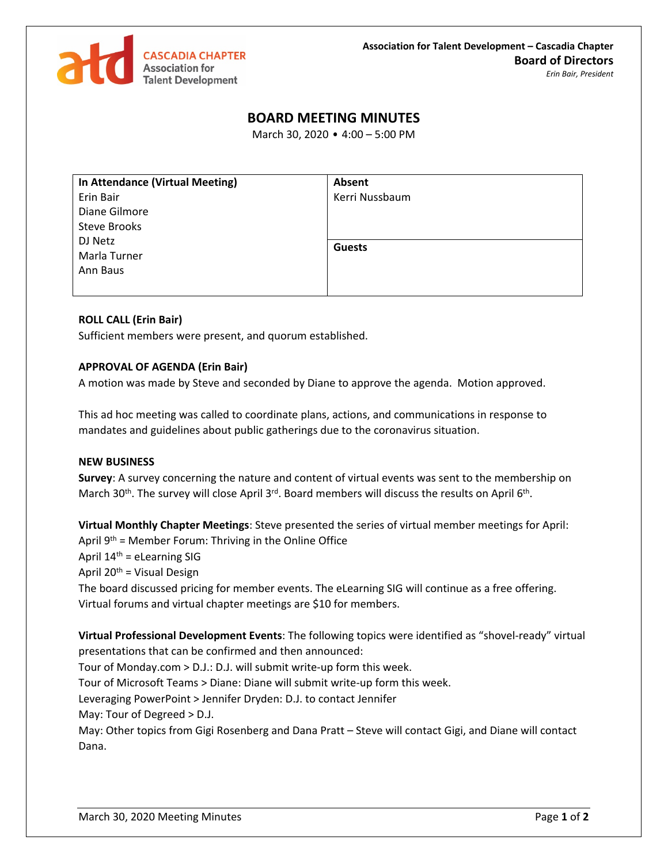

## **BOARD MEETING MINUTES**

March 30, 2020 • 4:00 – 5:00 PM

| In Attendance (Virtual Meeting) | Absent         |
|---------------------------------|----------------|
| Erin Bair                       | Kerri Nussbaum |
| Diane Gilmore                   |                |
| Steve Brooks                    |                |
| DJ Netz                         | <b>Guests</b>  |
| Marla Turner                    |                |
| Ann Baus                        |                |
|                                 |                |
|                                 |                |

## **ROLL CALL (Erin Bair)**

Sufficient members were present, and quorum established.

## **APPROVAL OF AGENDA (Erin Bair)**

A motion was made by Steve and seconded by Diane to approve the agenda. Motion approved.

This ad hoc meeting was called to coordinate plans, actions, and communications in response to mandates and guidelines about public gatherings due to the coronavirus situation.

## **NEW BUSINESS**

**Survey**: A survey concerning the nature and content of virtual events was sent to the membership on March 30<sup>th</sup>. The survey will close April 3<sup>rd</sup>. Board members will discuss the results on April 6<sup>th</sup>.

**Virtual Monthly Chapter Meetings**: Steve presented the series of virtual member meetings for April: April  $9<sup>th</sup>$  = Member Forum: Thriving in the Online Office

April  $14<sup>th</sup>$  = eLearning SIG

April  $20<sup>th</sup>$  = Visual Design

The board discussed pricing for member events. The eLearning SIG will continue as a free offering. Virtual forums and virtual chapter meetings are \$10 for members.

**Virtual Professional Development Events**: The following topics were identified as "shovel-ready" virtual presentations that can be confirmed and then announced:

Tour of Monday.com > D.J.: D.J. will submit write-up form this week.

Tour of Microsoft Teams > Diane: Diane will submit write-up form this week.

Leveraging PowerPoint > Jennifer Dryden: D.J. to contact Jennifer

May: Tour of Degreed > D.J.

May: Other topics from Gigi Rosenberg and Dana Pratt – Steve will contact Gigi, and Diane will contact Dana.